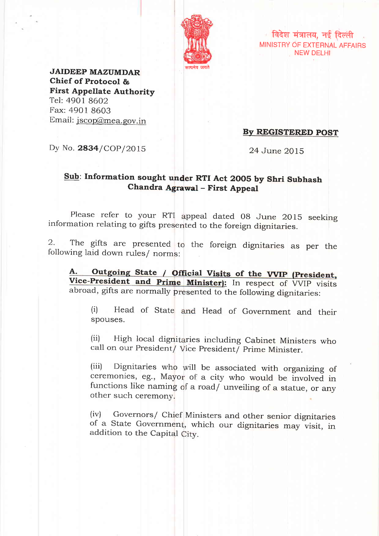

/ विदेश मंत्रालय, नई दिल्ली MINISTRY OF EXTERNAL AFFAIRS NEW DELHI

JAIDEEP MAZUMDAR Chief of Protocol & First Appellate Authority Tel: 4901 8602 Fax: 4901 8603 Email: jscop@mea.gov.in

By REGISTERED POST

Dy No. 2834/COP/2015

24 June 2015

# Sub: Information sought under RTI Act 2005 by Shri Subhash Chandra Agrawal - First Appeal

Please refer to your RTI appeal dated 08 June 2015 seeking information relating to gifts presented to the foreign dignitaries

2. The gifts are presented to the foreign dignitaries as per the following laid down rules/ norms:

A. Outgoing State / Official Visits of the Vice-President and Prime Minister): In respect of VVIP visits abroad, gifts are normally presented to the following dignitaries

(i) Head of State and Head of Government and their spouses.

(ii) High local dignitaries including Cabinet Ministers who call on our President/ Vice President/ Prime Minister

(iii) Dignitaries who will be associated with organizing of ceremonies, eg., Mayor of a city who would be involved in functions like naming of a road/ unveiling of a statue, or any other such ceremony.

(iv) Governors/ Chief Ministers and other senior dignitarie of a State Government, which our dignitaries may visit, in addition to the Capital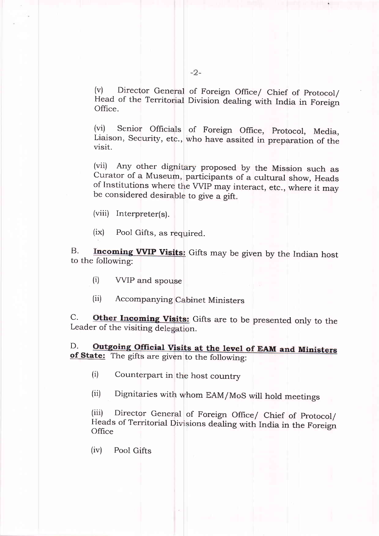(v) Director General of Foreign Office/ Chief of Protocol Head of the Territorial Division dealing with India in Foreign Office.

(vi) Senior Officials of Foreign Office, protocol, Media, Liaison, Security, etc., who have assited in preparation of the visit.

of Institutions where the VVIP may interact, etc., where it may be considered desirable to give a gift. Curator of a Museum, participants of a cultural show, Heads (vii) Any other dignitary proposed by the Mission such as

(viii) Interpreter(s).

(ix) Pool Gifts, as required.

 $B.$ **VVIP Visits:** Gifts may be given by the Indian host to the following:

- (i) VVIP and spouse
- (ii) Accompanying Cabinet Ministers

 $C$ . Leader of the visiting delegation. Other Incoming Visits: Gifts are to be presented only to the

D. D. Outgoing Official Visits at the level of EAM and Ministers of State: The gifts are given to the following:

(i) Counterpart in the host country

(ii) Dignitaries with hom EAM/MoS will hold meetings

(iii) Director General of Foreign Office/ Chief of protocol/ Heads of Territorial Divisions dealing with India in the Foreign **Office** 

 $(iv)$  Pool Gifts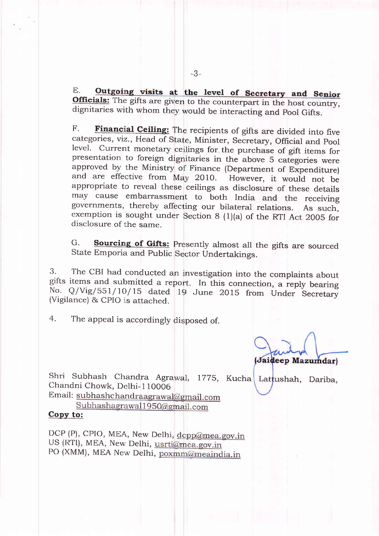E. Outgoing visits at the level of Secretary and Se Officials: The gifts are given to the counterpart in the host country dignitaries with whom they would be interacting and Pool Gifts

F. Financial Ceiling: The recipients of gifts are divided into five categories, viz., Head of State, Minister, Secretary, Official and Pool level. Current monetary ceilings for the purchase of gift items for presentation to foreign dignitaries in the above 5 categories were approved by the Ministry of Finance (Department of Expenditure and are effective from May 2010. appropriate to reveal these ceilings as disclosure of these details However, it would not be may cause embarrassment to both India and the receiving governments, thereby affecting our bilateral relations. As such exemption is sought under Section 8 (1)(a) of the RTI Act 2005 for disclosure of the same.

G. Sourcing of Gifts: Presently almost all the gifts are sourced State Emporia and Public Sector Undertakings.

3. The CBI had conducted an nvestigation into the complaints about gifts items and submitted a report. In this connection, a reply bearing No. Q/Vig/551/10/15 dated 19 June 2015 from Under Secretary (Vigilance) & CPIO is attached.

4 . The appeal is accordingly disposed of.

(Jaideep Mazumdar)

Shri Subhash Chandra Agrawal, 1775, Kucha Lattushah, Dariba Chandni Chowk. Delhi- I 10006

Email: subhashchandraagrawal@gmail.com  $Subhashagrawal1950@gmail.com$ 

## copy to:

PO (XMM), MEA New Delhi, poxmm@meaindia.in DCP (P), CPIO, MEA, New Delhi, dcpp@mea.gov.in US (RTI), MEA, New Delhi, usrti@mea.gov.in